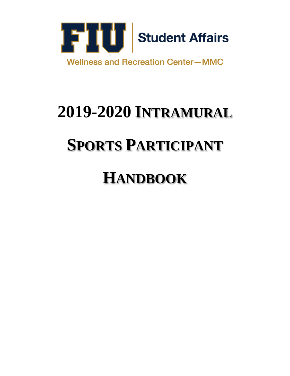

# **2019-2020 INTRAMURAL**

## **SPORTS PARTICIPANT**

## **HANDBOOK**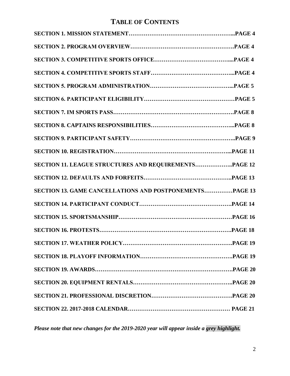## **TABLE OF CONTENTS**

| SECTION 11. LEAGUE STRUCTURES AND REQUIREMENTSPAGE 12   |  |
|---------------------------------------------------------|--|
|                                                         |  |
| SECTION 13. GAME CANCELLATIONS AND POSTPONEMENTSPAGE 13 |  |
|                                                         |  |
|                                                         |  |
|                                                         |  |
| SECTION 17. WEATHER POLICY                              |  |
|                                                         |  |
|                                                         |  |
|                                                         |  |
|                                                         |  |
|                                                         |  |

*Please note that new changes for the 2019-2020 year will appear inside a grey highlight.*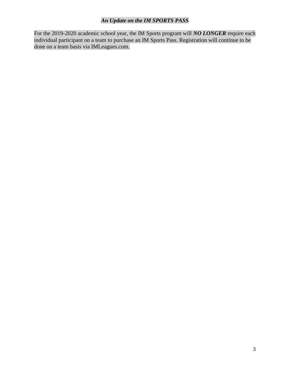#### *An Update on the IM SPORTS PASS*

For the 2019-2020 academic school year, the IM Sports program will *NO LONGER* require each individual participant on a team to purchase an IM Sports Pass. Registration will continue to be done on a team basis via IMLeagues.com.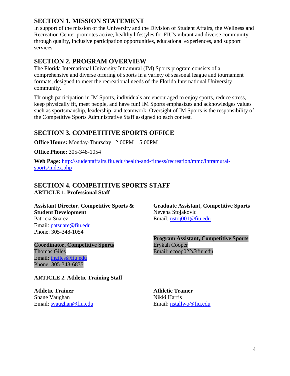#### **SECTION 1. MISSION STATEMENT**

In support of the mission of the University and the Division of Student Affairs, the Wellness and Recreation Center promotes active, healthy lifestyles for FIU's vibrant and diverse community through quality, inclusive participation opportunities, educational experiences, and support services.

#### **SECTION 2. PROGRAM OVERVIEW**

The Florida International University Intramural (IM) Sports program consists of a comprehensive and diverse offering of sports in a variety of seasonal league and tournament formats, designed to meet the recreational needs of the Florida International University community.

Through participation in IM Sports, individuals are encouraged to enjoy sports, reduce stress, keep physically fit, meet people, and have fun! IM Sports emphasizes and acknowledges values such as sportsmanship, leadership, and teamwork. Oversight of IM Sports is the responsibility of the Competitive Sports Administrative Staff assigned to each contest.

## **SECTION 3. COMPETITIVE SPORTS OFFICE**

**Office Hours:** Monday-Thursday 12:00PM – 5:00PM

**Office Phone:** 305-348-1054

**Web Page:** [http://studentaffairs.fiu.edu/health-and-fitness/recreation/mmc/intramural](http://studentaffairs.fiu.edu/health-and-fitness/recreation/mmc/intramural-sports/index.php)[sports/index.php](http://studentaffairs.fiu.edu/health-and-fitness/recreation/mmc/intramural-sports/index.php)

## **SECTION 4. COMPETITIVE SPORTS STAFF**

**ARTICLE 1. Professional Staff**

**Assistant Director, Competitive Sports & Student Development** Patricia Suarez Email: [patsuare@fiu.edu](mailto:patsuare@fiu.edu) Phone: 305-348-1054

**Coordinator, Competitive Sports** Thomas Giles Email: [thgiles@fiu.edu](mailto:thgiles@fiu.edu) Phone: 305-348-6835

#### **ARTICLE 2. Athletic Training Staff**

**Athletic Trainer Athletic Trainer** Shane Vaughan Email: [svaughan@fiu.edu](mailto:svaughan@fiu.edu)

**Graduate Assistant, Competitive Sports** Nevena Stojakovic Email: [nstoj001@fiu.edu](mailto:nstoj001@fiu.edu)

**Program Assistant, Competitive Sports** Erykah Cooper Email: ecoop022@fiu.edu

Nikki Harris Email: [nstallwo@fiu.edu](mailto:nstallwo@fiu.edu)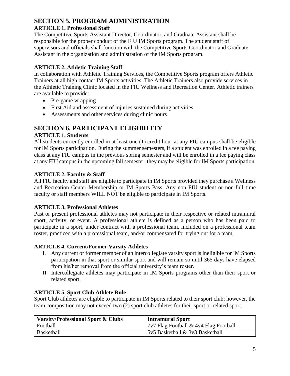## **SECTION 5. PROGRAM ADMINISTRATION**

#### **ARTICLE 1. Professional Staff**

The Competitive Sports Assistant Director, Coordinator, and Graduate Assistant shall be responsible for the proper conduct of the FIU IM Sports program. The student staff of supervisors and officials shall function with the Competitive Sports Coordinator and Graduate Assistant in the organization and administration of the IM Sports program.

#### **ARTICLE 2. Athletic Training Staff**

In collaboration with Athletic Training Services, the Competitive Sports program offers Athletic Trainers at all high contact IM Sports activities. The Athletic Trainers also provide services in the Athletic Training Clinic located in the FIU Wellness and Recreation Center. Athletic trainers are available to provide:

- Pre-game wrapping
- First Aid and assessment of injuries sustained during activities
- Assessments and other services during clinic hours

## **SECTION 6. PARTICIPANT ELIGIBILITY**

#### **ARTICLE 1. Students**

All students currently enrolled in at least one (1) credit hour at any FIU campus shall be eligible for IM Sports participation. During the summer semesters, if a student was enrolled in a fee paying class at any FIU campus in the previous spring semester and will be enrolled in a fee paying class at any FIU campus in the upcoming fall semester, they may be eligible for IM Sports participation.

#### **ARTICLE 2. Faculty & Staff**

All FIU faculty and staff are eligible to participate in IM Sports provided they purchase a Wellness and Recreation Center Membership or IM Sports Pass. Any non FIU student or non-full time faculty or staff members WILL NOT be eligible to participate in IM Sports.

#### **ARTICLE 3. Professional Athletes**

Past or present professional athletes may not participate in their respective or related intramural sport, activity, or event. A professional athlete is defined as a person who has been paid to participate in a sport, under contract with a professional team, included on a professional team roster, practiced with a professional team, and/or compensated for trying out for a team.

#### **ARTICLE 4. Current/Former Varsity Athletes**

- I. Any current or former member of an intercollegiate varsity sport is ineligible for IM Sports participation in that sport or similar sport and will remain so until 365 days have elapsed from his/her removal from the official university's team roster.
- II. Intercollegiate athletes may participate in IM Sports programs other than their sport or related sport.

#### **ARTICLE 5. Sport Club Athlete Rule**

Sport Club athletes are eligible to participate in IM Sports related to their sport club; however, the team composition may not exceed two (2) sport club athletes for their sport or related sport.

| <b>Varsity/Professional Sport &amp; Clubs</b> | <b>Intramural Sport</b>               |
|-----------------------------------------------|---------------------------------------|
| Football                                      | 7v7 Flag Football & 4v4 Flag Football |
| <b>Basketball</b>                             | 5v5 Basketball & 3v3 Basketball       |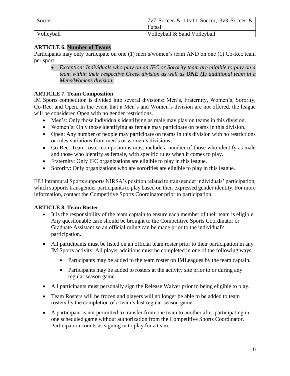| Soccer     | $17v7$ Soccer & 11v11 Soccer, 3v3 Soccer & |
|------------|--------------------------------------------|
|            | Futsal                                     |
| Volleyball | Volleyball & Sand Volleyball               |

#### **ARTICLE 6. Number of Teams**

Participants may only participate on one (1) men's/women's team AND on one (1) Co-Rec team per sport.

 *Exception: Individuals who play on an IFC or Sorority team are eligible to play on a team within their respective Greek division as well as ONE (1) additional team in a Mens/Womens division.*

#### **ARTICLE 7. Team Composition**

IM Sports competition is divided into several divisions: Men's, Fraternity, Women's, Sorority, Co-Rec, and Open. In the event that a Men's and Women's division are not offered, the league will be considered Open with no gender restrictions.

- Men's: Only those individuals identifying as male may play on teams in this division.
- Women's: Only those identifying as female may participate on teams in this division.
- Open: Any number of people may participate on teams in this division with no restrictions or rules variations from men's or women's divisions.
- Co-Rec: Team roster compositions must include a number of those who identify as male and those who identify as female, with specific rules when it comes to play.
- Fraternity: Only IFC organizations are eligible to play in this league.
- Sorority: Only organizations who are sororities are eligible to play in this league.

FIU Intramural Sports supports NIRSA's position related to transgender individuals' participation, which supports transgender participants to play based on their expressed gender identity. For more information, contact the Competitive Sports Coordinator prior to participation.

#### **ARTICLE 8. Team Roster**

- It is the responsibility of the team captain to ensure each member of their team is eligible. Any questionable case should be brought to the Competitive Sports Coordinator or Graduate Assistant so an official ruling can be made prior to the individual's participation.
- All participants must be listed on an official team roster prior to their participation in any IM Sports activity. All player additions must be completed in one of the following ways:
	- Participants may be added to the team roster on IMLeagues by the team captain.
	- Participants may be added to rosters at the activity site prior to or during any regular season game.
- All participants must personally sign the Release Waiver prior to being eligible to play.
- Team Rosters will be frozen and players will no longer be able to be added to team rosters by the completion of a team's last regular season game.
- A participant is not permitted to transfer from one team to another after participating in one scheduled game without authorization from the Competitive Sports Coordinator. Participation counts as signing in to play for a team.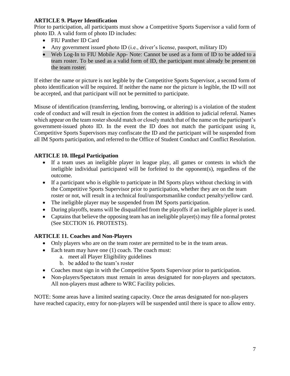#### **ARTICLE 9. Player Identification**

Prior to participation, all participants must show a Competitive Sports Supervisor a valid form of photo ID. A valid form of photo ID includes:

- FIU Panther ID Card
- Any government issued photo ID (i.e., driver's license, passport, military ID)
- Web Log-In to FIU Mobile App- Note: Cannot be used as a form of ID to be added to a team roster. To be used as a valid form of ID, the participant must already be present on the team roster.

If either the name or picture is not legible by the Competitive Sports Supervisor, a second form of photo identification will be required. If neither the name nor the picture is legible, the ID will not be accepted, and that participant will not be permitted to participate.

Misuse of identification (transferring, lending, borrowing, or altering) is a violation of the student code of conduct and will result in ejection from the contest in addition to judicial referral. Names which appear on the team roster should match or closely match that of the name on the participant's government-issued photo ID. In the event the ID does not match the participant using it, Competitive Sports Supervisors may confiscate the ID and the participant will be suspended from all IM Sports participation, and referred to the Office of Student Conduct and Conflict Resolution.

#### **ARTICLE 10. Illegal Participation**

- If a team uses an ineligible player in league play, all games or contests in which the ineligible individual participated will be forfeited to the opponent(s), regardless of the outcome.
- If a participant who is eligible to participate in IM Sports plays without checking in with the Competitive Sports Supervisor prior to participation, whether they are on the team roster or not, will result in a technical foul/unsportsmanlike conduct penalty/yellow card.
- The ineligible player may be suspended from IM Sports participation.
- During playoffs, teams will be disqualified from the playoffs if an ineligible player is used.
- Captains that believe the opposing team has an ineligible player(s) may file a formal protest (See SECTION 16. PROTESTS).

#### **ARTICLE 11. Coaches and Non-Players**

- Only players who are on the team roster are permitted to be in the team areas.
- $\bullet$  Each team may have one (1) coach. The coach must:
	- a. meet all Player Eligibility guidelines
		- b. be added to the team's roster
- Coaches must sign in with the Competitive Sports Supervisor prior to participation.
- Non-players/Spectators must remain in areas designated for non-players and spectators. All non-players must adhere to WRC Facility policies.

NOTE: Some areas have a limited seating capacity. Once the areas designated for non-players have reached capacity, entry for non-players will be suspended until there is space to allow entry.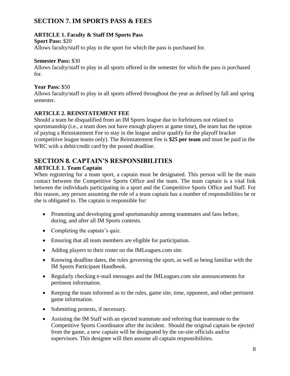#### **SECTION 7. IM SPORTS PASS & FEES**

#### **ARTICLE 1. Faculty & Staff IM Sports Pass**

#### **Sport Pass:** \$20

Allows faculty/staff to play in the sport for which the pass is purchased for.

#### **Semester Pass:** \$30

Allows faculty/staff to play in all sports offered in the semester for which the pass is purchased for.

#### **Year Pass:** \$50

Allows faculty/staff to play in all sports offered throughout the year as defined by fall and spring semester.

#### **ARTICLE 2. REINSTATEMENT FEE**

Should a team be disqualified from an IM Sports league due to forfeitures not related to sportsmanship (i.e., a team does not have enough players at game time), the team has the option of paying a Reinstatement Fee to stay in the league and/or qualify for the playoff bracket (competitive league teams only). The Reinstatement Fee is **\$25 per team** and must be paid in the WRC with a debit/credit card by the posted deadline.

## **SECTION 8. CAPTAIN'S RESPONSIBILITIES**

#### **ARTICLE 1. Team Captain**

When registering for a team sport, a captain must be designated. This person will be the main contact between the Competitive Sports Office and the team. The team captain is a vital link between the individuals participating in a sport and the Competitive Sports Office and Staff. For this reason, any person assuming the role of a team captain has a number of responsibilities he or she is obligated to. The captain is responsible for:

- Promoting and developing good sportsmanship among teammates and fans before, during, and after all IM Sports contests.
- Completing the captain's quiz.
- Ensuring that all team members are eligible for participation.
- Adding players to their roster on the IMLeagues.com site.
- Knowing deadline dates, the rules governing the sport, as well as being familiar with the IM Sports Participant Handbook.
- Regularly checking e-mail messages and the IMLeagues.com site announcements for pertinent information.
- Keeping the team informed as to the rules, game site, time, opponent, and other pertinent game information.
- Submitting protests, if necessary.
- Assisting the IM Staff with an ejected teammate and referring that teammate to the Competitive Sports Coordinator after the incident. Should the original captain be ejected from the game, a new captain will be designated by the on-site officials and/or supervisors. This designee will then assume all captain responsibilities.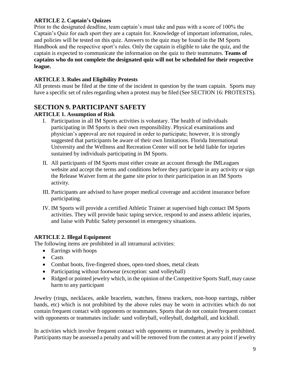#### **ARTICLE 2. Captain's Quizzes**

Prior to the designated deadline, team captain's must take and pass with a score of 100% the Captain's Quiz for each sport they are a captain for. Knowledge of important information, rules, and policies will be tested on this quiz. Answers to the quiz may be found in the IM Sports Handbook and the respective sport's rules. Only the captain is eligible to take the quiz, and the captain is expected to communicate the information on the quiz to their teammates. **Teams of captains who do not complete the designated quiz will not be scheduled for their respective league.**

#### **ARTICLE 3. Rules and Eligibility Protests**

All protests must be filed at the time of the incident in question by the team captain. Sports may have a specific set of rules regarding when a protest may be filed (See SECTION 16: PROTESTS).

## **SECTION 9. PARTICIPANT SAFETY**

#### **ARTICLE 1. Assumption of Risk**

- I. Participation in all IM Sports activities is voluntary. The health of individuals participating in IM Sports is their own responsibility. Physical examinations and physician's approval are not required in order to participate; however, it is strongly suggested that participants be aware of their own limitations. Florida International University and the Wellness and Recreation Center will not be held liable for injuries sustained by individuals participating in IM Sports.
- II. All participants of IM Sports must either create an account through the IMLeagues website and accept the terms and conditions before they participate in any activity or sign the Release Waiver form at the game site prior to their participation in an IM Sports activity.
- III. Participants are advised to have proper medical coverage and accident insurance before participating.
- IV. IM Sports will provide a certified Athletic Trainer at supervised high contact IM Sports activities. They will provide basic taping service, respond to and assess athletic injuries, and liaise with Public Safety personnel in emergency situations.

#### **ARTICLE 2. Illegal Equipment**

The following items are prohibited in all intramural activities:

- Earrings with hoops
- Casts
- Combat boots, five-fingered shoes, open-toed shoes, metal cleats
- Participating without footwear (exception: sand volleyball)
- Ridged or pointed jewelry which, in the opinion of the Competitive Sports Staff, may cause harm to any participant

Jewelry (rings, necklaces, ankle bracelets, watches, fitness trackers, non-hoop earrings, rubber bands, etc) which is not prohibited by the above rules may be worn in activities which do not contain frequent contact with opponents or teammates. Sports that do not contain frequent contact with opponents or teammates include: sand volleyball, volleyball, dodgeball, and kickball.

In activities which involve frequent contact with opponents or teammates, jewelry is prohibited. Participants may be assessed a penalty and will be removed from the contest at any point if jewelry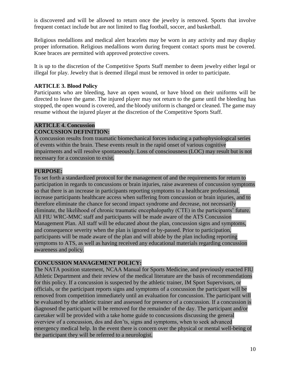is discovered and will be allowed to return once the jewelry is removed. Sports that involve frequent contact include but are not limited to flag football, soccer, and basketball.

Religious medallions and medical alert bracelets may be worn in any activity and may display proper information. Religious medallions worn during frequent contact sports must be covered. Knee braces are permitted with approved protective covers.

It is up to the discretion of the Competitive Sports Staff member to deem jewelry either legal or illegal for play. Jewelry that is deemed illegal must be removed in order to participate.

#### **ARTICLE 3. Blood Policy**

Participants who are bleeding, have an open wound, or have blood on their uniforms will be directed to leave the game. The injured player may not return to the game until the bleeding has stopped, the open wound is covered, and the bloody uniform is changed or cleaned. The game may resume without the injured player at the discretion of the Competitive Sports Staff.

## **ARTICLE 4. Concussion**

#### **CONCUSSION DEFINITION:**

A concussion results from traumatic biomechanical forces inducing a pathophysiological series of events within the brain. These events result in the rapid onset of various cognitive impairments and will resolve spontaneously. Loss of consciousness (LOC) may result but is not necessary for a concussion to exist.

#### **PURPOSE:**

To set forth a standardized protocol for the management of and the requirements for return to participation in regards to concussions or brain injuries, raise awareness of concussion symptoms so that there is an increase in participants reporting symptoms to a healthcare professional, increase participants healthcare access when suffering from concussion or brain injuries, and to therefore eliminate the chance for second impact syndrome and decrease, not necessarily eliminate, the likelihood of chronic traumatic encephalopathy (CTE) in the participants' future. All FIU WRC-MMC staff and participants will be made aware of the ATS Concussion Management Plan. All staff will be educated about the plan, concussion signs and symptoms, and consequence severity when the plan is ignored or by-passed. Prior to participation, participants will be made aware of the plan and will abide by the plan including reporting symptoms to ATS, as well as having received any educational materials regarding concussion awareness and policy.

#### **CONCUSSION MANAGEMENT POLICY:**

The NATA position statement, NCAA Manual for Sports Medicine, and previously enacted FIU Athletic Department and their review of the medical literature are the basis of recommendations for this policy. If a concussion is suspected by the athletic trainer, IM Sport Supervisors, or officials, or the participant reports signs and symptoms of a concussion the participant will be removed from competition immediately until an evaluation for concussion. The participant will be evaluated by the athletic trainer and assessed for presence of a concussion. If a concussion is diagnosed the participant will be removed for the remainder of the day. The participant and/or caretaker will be provided with a take home guide to concussions discussing the general overview of a concussion, dos and don'ts, signs and symptoms, when to seek advanced emergency medical help. In the event there is concern over the physical or mental well-being of the participant they will be referred to a neurologist.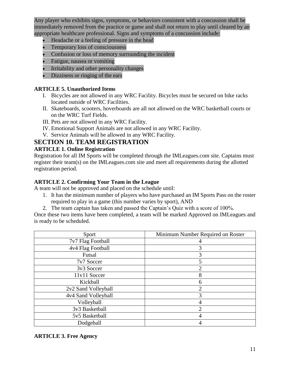Any player who exhibits signs, symptoms, or behaviors consistent with a concussion shall be immediately removed from the practice or game and shall not return to play until cleared by an appropriate healthcare professional. Signs and symptoms of a concussion include:

- Headache or a feeling of pressure in the head
- Temporary loss of consciousness
- Confusion or loss of memory surrounding the incident
- Fatigue, nausea or vomiting
- Irritability and other personality changes
- Dizziness or ringing of the ears

#### **ARTICLE 5. Unauthorized Items**

- I. Bicycles are not allowed in any WRC Facility. Bicycles must be secured on bike racks located outside of WRC Facilities.
- II. Skateboards, scooters, hoverboards are all not allowed on the WRC basketball courts or on the WRC Turf Fields.
- III. Pets are not allowed in any WRC Facility.
- IV. Emotional Support Animals are not allowed in any WRC Facility.
- V. Service Animals will be allowed in any WRC Facility.

#### **SECTION 10. TEAM REGISTRATION**

#### **ARTICLE 1. Online Registration**

Registration for all IM Sports will be completed through the IMLeagues.com site. Captains must register their team(s) on the IMLeagues.com site and meet all requirements during the allotted registration period.

#### **ARTICLE 2. Confirming Your Team in the League**

A team will not be approved and placed on the schedule until:

- 1. It has the minimum number of players who have purchased an IM Sports Pass on the roster required to play in a game (this number varies by sport), AND
- 2. The team captain has taken and passed the Captain's Quiz with a score of 100%.

Once these two items have been completed, a team will be marked Approved on IMLeagues and is ready to be scheduled.

| Sport               | Minimum Number Required on Roster |
|---------------------|-----------------------------------|
| 7v7 Flag Football   |                                   |
| 4v4 Flag Football   | 3                                 |
| Futsal              | 3                                 |
| 7v7 Soccer          | 5                                 |
| 3v3 Soccer          |                                   |
| 11v11 Soccer        | 8                                 |
| Kickball            | 6                                 |
| 2v2 Sand Volleyball |                                   |
| 4v4 Sand Volleyball | 3                                 |
| Volleyball          |                                   |
| 3v3 Basketball      | ↑                                 |
| 5v5 Basketball      |                                   |
| Dodgeball           |                                   |

#### **ARTICLE 3. Free Agency**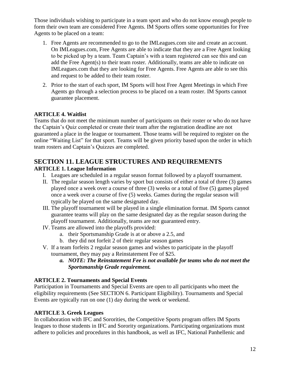Those individuals wishing to participate in a team sport and who do not know enough people to form their own team are considered Free Agents. IM Sports offers some opportunities for Free Agents to be placed on a team:

- 1. Free Agents are recommended to go to the IMLeagues.com site and create an account. On IMLeagues.com, Free Agents are able to indicate that they are a Free Agent looking to be picked up by a team. Team Captain's with a team registered can see this and can add the Free Agent(s) to their team roster. Additionally, teams are able to indicate on IMLeagues.com that they are looking for Free Agents. Free Agents are able to see this and request to be added to their team roster.
- 2. Prior to the start of each sport, IM Sports will host Free Agent Meetings in which Free Agents go through a selection process to be placed on a team roster. IM Sports cannot guarantee placement.

#### **ARTICLE 4. Waitlist**

Teams that do not meet the minimum number of participants on their roster or who do not have the Captain's Quiz completed or create their team after the registration deadline are not guaranteed a place in the league or tournament. Those teams will be required to register on the online "Waiting List" for that sport. Teams will be given priority based upon the order in which team rosters and Captain's Quizzes are completed.

## **SECTION 11. LEAGUE STRUCTURES AND REQUIREMENTS**

#### **ARTICLE 1. League Information**

- I. Leagues are scheduled in a regular season format followed by a playoff tournament.
- II. The regular season length varies by sport but consists of either a total of three (3) games played once a week over a course of three (3) weeks or a total of five (5) games played once a week over a course of five (5) weeks. Games during the regular season will typically be played on the same designated day.
- III. The playoff tournament will be played in a single elimination format. IM Sports cannot guarantee teams will play on the same designated day as the regular season during the playoff tournament. Additionally, teams are not guaranteed entry.
- IV. Teams are allowed into the playoffs provided:
	- a. their Sportsmanship Grade is at or above a 2.5, and
	- b. they did not forfeit 2 of their regular season games
- V. If a team forfeits 2 regular season games and wishes to participate in the playoff tournament, they may pay a Reinstatement Fee of \$25.
	- *a. NOTE: The Reinstatement Fee is not available for teams who do not meet the Sportsmanship Grade requirement.*

#### **ARTICLE 2. Tournaments and Special Events**

Participation in Tournaments and Special Events are open to all participants who meet the eligibility requirements (See SECTION 6. Participant Eligibility). Tournaments and Special Events are typically run on one (1) day during the week or weekend.

#### **ARTICLE 3. Greek Leagues**

In collaboration with IFC and Sororities, the Competitive Sports program offers IM Sports leagues to those students in IFC and Sorority organizations. Participating organizations must adhere to policies and procedures in this handbook, as well as IFC, National Panhellenic and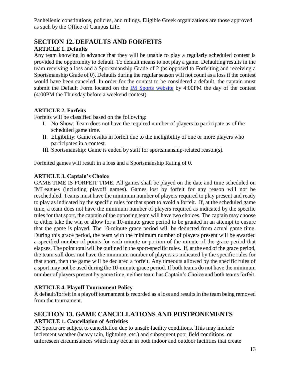Panhellenic constitutions, policies, and rulings. Eligible Greek organizations are those approved as such by the Office of Campus Life.

#### **SECTION 12. DEFAULTS AND FORFEITS ARTICLE 1. Defaults**

Any team knowing in advance that they will be unable to play a regularly scheduled contest is provided the opportunity to default. To default means to not play a game. Defaulting results in the team receiving a loss and a Sportsmanship Grade of 2 (as opposed to Forfeiting and receiving a Sportsmanship Grade of 0). Defaults during the regular season will not count as a loss if the contest would have been canceled. In order for the contest to be considered a default, the captain must submit the Default Form located on the [IM Sports website](https://studentaffairs.fiu.edu/health-and-fitness/recreation/mmc/intramural-sports/index.php) by 4:00PM the day of the contest (4:00PM the Thursday before a weekend contest).

#### **ARTICLE 2. Forfeits**

Forfeits will be classified based on the following:

- I. No-Show: Team does not have the required number of players to participate as of the scheduled game time.
- II. Eligibility: Game results in forfeit due to the ineligibility of one or more players who participates in a contest.
- III. Sportsmanship: Game is ended by staff for sportsmanship-related reason(s).

Forfeited games will result in a loss and a Sportsmanship Rating of 0.

#### **ARTICLE 3. Captain's Choice**

GAME TIME IS FORFEIT TIME. All games shall be played on the date and time scheduled on IMLeagues (including playoff games). Games lost by forfeit for any reason will not be rescheduled. Teams must have the minimum number of players required to play present and ready to play as indicated by the specific rules for that sport to avoid a forfeit. If, at the scheduled game time, a team does not have the minimum number of players required as indicated by the specific rules for that sport, the captain of the opposing team will have two choices. The captain may choose to either take the win or allow for a 10-minute grace period to be granted in an attempt to ensure that the game is played. The 10-minute grace period will be deducted from actual game time. During this grace period, the team with the minimum number of players present will be awarded a specified number of points for each minute or portion of the minute of the grace period that elapses. The point total will be outlined in the sport-specific rules. If, at the end of the grace period, the team still does not have the minimum number of players as indicated by the specific rules for that sport, then the game will be declared a forfeit. Any timeouts allowed by the specific rules of a sport may not be used during the 10-minute grace period. If both teams do not have the minimum number of players present by game time, neither team has Captain's Choice and both teams forfeit.

#### **ARTICLE 4. Playoff Tournament Policy**

A default/forfeit in a playoff tournament is recorded as a loss and results in the team being removed from the tournament.

## **SECTION 13. GAME CANCELLATIONS AND POSTPONEMENTS ARTICLE 1. Cancellation of Activities**

IM Sports are subject to cancellation due to unsafe facility conditions. This may include inclement weather (heavy rain, lightning, etc.) and subsequent poor field conditions, or unforeseen circumstances which may occur in both indoor and outdoor facilities that create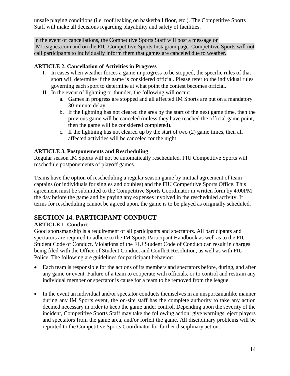unsafe playing conditions (i.e. roof leaking on basketball floor, etc.). The Competitive Sports Staff will make all decisions regarding playability and safety of facilities.

In the event of cancellations, the Competitive Sports Staff will post a message on IMLeagues.com and on the FIU Competitive Sports Instagram page. Competitive Sports will not call participants to individually inform them that games are canceled due to weather.

#### **ARTICLE 2. Cancellation of Activities in Progress**

- I. In cases when weather forces a game in progress to be stopped, the specific rules of that sport will determine if the game is considered official. Please refer to the individual rules governing each sport to determine at what point the contest becomes official.
- II. In the event of lightning or thunder, the following will occur:
	- a. Games in progress are stopped and all affected IM Sports are put on a mandatory 30-minute delay.
	- b. If the lightning has not cleared the area by the start of the next game time, then the previous game will be canceled (unless they have reached the official game point, then the game will be considered completed).
	- c. If the lightning has not cleared up by the start of two (2) game times, then all affected activities will be canceled for the night.

#### **ARTICLE 3. Postponements and Rescheduling**

Regular season IM Sports will not be automatically rescheduled. FIU Competitive Sports will reschedule postponements of playoff games.

Teams have the option of rescheduling a regular season game by mutual agreement of team captains (or individuals for singles and doubles) and the FIU Competitive Sports Office. This agreement must be submitted to the Competitive Sports Coordinator in written form by 4:00PM the day before the game and by paying any expenses involved in the rescheduled activity. If terms for rescheduling cannot be agreed upon, the game is to be played as originally scheduled.

## **SECTION 14. PARTICIPANT CONDUCT**

#### **ARTICLE 1. Conduct**

Good sportsmanship is a requirement of all participants and spectators. All participants and spectators are required to adhere to the IM Sports Participant Handbook as well as to the FIU Student Code of Conduct. Violations of the FIU Student Code of Conduct can result in charges being filed with the Office of Student Conduct and Conflict Resolution, as well as with FIU Police. The following are guidelines for participant behavior:

- Each team is responsible for the actions of its members and spectators before, during, and after any game or event. Failure of a team to cooperate with officials, or to control and restrain any individual member or spectator is cause for a team to be removed from the league.
- In the event an individual and/or spectator conducts themselves in an unsportsmanlike manner during any IM Sports event, the on-site staff has the complete authority to take any action deemed necessary in order to keep the game under control. Depending upon the severity of the incident, Competitive Sports Staff may take the following action: give warnings, eject players and spectators from the game area, and/or forfeit the game. All disciplinary problems will be reported to the Competitive Sports Coordinator for further disciplinary action.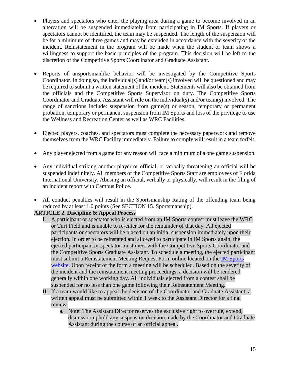- Players and spectators who enter the playing area during a game to become involved in an altercation will be suspended immediately from participating in IM Sports. If players or spectators cannot be identified, the team may be suspended. The length of the suspension will be for a minimum of three games and may be extended in accordance with the severity of the incident. Reinstatement in the program will be made when the student or team shows a willingness to support the basic principles of the program. This decision will be left to the discretion of the Competitive Sports Coordinator and Graduate Assistant.
- Reports of unsportsmanlike behavior will be investigated by the Competitive Sports Coordinator. In doing so, the individual(s) and/or team(s) involved will be questioned and may be required to submit a written statement of the incident. Statements will also be obtained from the officials and the Competitive Sports Supervisor on duty. The Competitive Sports Coordinator and Graduate Assistant will rule on the individual(s) and/or team(s) involved. The range of sanctions include: suspension from game(s) or season, temporary or permanent probation, temporary or permanent suspension from IM Sports and loss of the privilege to use the Wellness and Recreation Center as well as WRC Facilities.
- Ejected players, coaches, and spectators must complete the necessary paperwork and remove themselves from the WRC Facility immediately. Failure to comply will result in a team forfeit.
- Any player ejected from a game for any reason will face a minimum of a one game suspension.
- Any individual striking another player or official, or verbally threatening an official will be suspended indefinitely. All members of the Competitive Sports Staff are employees of Florida International University. Abusing an official, verbally or physically, will result in the filing of an incident report with Campus Police.
- All conduct penalties will result in the Sportsmanship Rating of the offending team being reduced by at least 1.0 points (See SECTION 15. Sportsmanship).

#### **ARTICLE 2. Discipline & Appeal Process**

- I. A participant or spectator who is ejected from an IM Sports contest must leave the WRC or Turf Field and is unable to re-enter for the remainder of that day. All ejected participants or spectators will be placed on an initial suspension immediately upon their ejection. In order to be reinstated and allowed to participate in IM Sports again, the ejected participant or spectator must meet with the Competitive Sports Coordinator and the Competitive Sports Graduate Assistant. To schedule a meeting, the ejected participant must submit a Reinstatement Meeting Request Form online located on the [IM Sports](https://studentaffairs.fiu.edu/health-and-fitness/recreation/mmc/intramural-sports/index.php)  [website.](https://studentaffairs.fiu.edu/health-and-fitness/recreation/mmc/intramural-sports/index.php) Upon receipt of the form a meeting will be scheduled. Based on the severity of the incident and the reinstatement meeting proceedings, a decision will be rendered generally within one working day. All individuals ejected from a contest shall be suspended for no less than one game following their Reinstatement Meeting.
- II. If a team would like to appeal the decision of the Coordinator and Graduate Assistant, a written appeal must be submitted within 1 week to the Assistant Director for a final review.
	- a. Note: The Assistant Director reserves the exclusive right to overrule, extend, dismiss or uphold any suspension decision made by the Coordinator and Graduate Assistant during the course of an official appeal.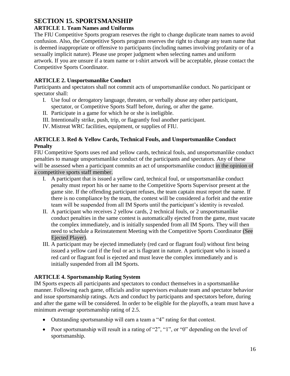#### **SECTION 15. SPORTSMANSHIP**

#### **ARTICLE 1. Team Names and Uniforms**

The FIU Competitive Sports program reserves the right to change duplicate team names to avoid confusion. Also, the Competitive Sports program reserves the right to change any team name that is deemed inappropriate or offensive to participants (including names involving profanity or of a sexually implicit nature). Please use proper judgment when selecting names and uniform artwork. If you are unsure if a team name or t-shirt artwork will be acceptable, please contact the Competitive Sports Coordinator.

#### **ARTICLE 2. Unsportsmanlike Conduct**

Participants and spectators shall not commit acts of unsportsmanlike conduct. No participant or spectator shall:

- I. Use foul or derogatory language, threaten, or verbally abuse any other participant, spectator, or Competitive Sports Staff before, during, or after the game.
- II. Participate in a game for which he or she is ineligible.
- III. Intentionally strike, push, trip, or flagrantly foul another participant.
- IV. Mistreat WRC facilities, equipment, or supplies of FIU.

#### **ARTICLE 3. Red & Yellow Cards, Technical Fouls, and Unsportsmanlike Conduct Penalty**

FIU Competitive Sports uses red and yellow cards, technical fouls, and unsportsmanlike conduct penalties to manage unsportsmanlike conduct of the participants and spectators. Any of these will be assessed when a participant commits an act of unsportsmanlike conduct in the opinion of a competitive sports staff member.

- I. A participant that is issued a yellow card, technical foul, or unsportsmanlike conduct penalty must report his or her name to the Competitive Sports Supervisor present at the game site. If the offending participant refuses, the team captain must report the name. If there is no compliance by the team, the contest will be considered a forfeit and the entire team will be suspended from all IM Sports until the participant's identity is revealed.
- II. A participant who receives 2 yellow cards, 2 technical fouls, or 2 unsportsmanlike conduct penalties in the same contest is automatically ejected from the game, must vacate the complex immediately, and is initially suspended from all IM Sports. They will then need to schedule a Reinstatement Meeting with the Competitive Sports Coordinator (See Ejected Player).
- III. A participant may be ejected immediately (red card or flagrant foul) without first being issued a yellow card if the foul or act is flagrant in nature. A participant who is issued a red card or flagrant foul is ejected and must leave the complex immediately and is initially suspended from all IM Sports.

#### **ARTICLE 4. Sportsmanship Rating System**

IM Sports expects all participants and spectators to conduct themselves in a sportsmanlike manner. Following each game, officials and/or supervisors evaluate team and spectator behavior and issue sportsmanship ratings. Acts and conduct by participants and spectators before, during and after the game will be considered. In order to be eligible for the playoffs, a team must have a minimum average sportsmanship rating of 2.5.

- Outstanding sportsmanship will earn a team a "4" rating for that contest.
- Poor sportsmanship will result in a rating of "2", "1", or "0" depending on the level of sportsmanship.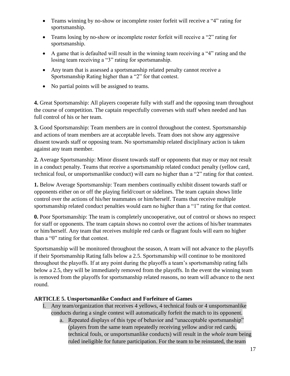- Teams winning by no-show or incomplete roster forfeit will receive a "4" rating for sportsmanship.
- Teams losing by no-show or incomplete roster forfeit will receive a "2" rating for sportsmanship.
- A game that is defaulted will result in the winning team receiving a "4" rating and the losing team receiving a "3" rating for sportsmanship.
- Any team that is assessed a sportsmanship related penalty cannot receive a Sportsmanship Rating higher than a "2" for that contest.
- No partial points will be assigned to teams.

**4.** Great Sportsmanship: All players cooperate fully with staff and the opposing team throughout the course of competition. The captain respectfully converses with staff when needed and has full control of his or her team.

**3.** Good Sportsmanship: Team members are in control throughout the contest. Sportsmanship and actions of team members are at acceptable levels. Team does not show any aggressive dissent towards staff or opposing team. No sportsmanship related disciplinary action is taken against any team member.

**2.** Average Sportsmanship: Minor dissent towards staff or opponents that may or may not result in a conduct penalty. Teams that receive a sportsmanship related conduct penalty (yellow card, technical foul, or unsportsmanlike conduct) will earn no higher than a "2" rating for that contest.

**1.** Below Average Sportsmanship: Team members continually exhibit dissent towards staff or opponents either on or off the playing field/court or sidelines. The team captain shows little control over the actions of his/her teammates or him/herself. Teams that receive multiple sportsmanship related conduct penalties would earn no higher than a "1" rating for that contest.

**0.** Poor Sportsmanship: The team is completely uncooperative, out of control or shows no respect for staff or opponents. The team captain shows no control over the actions of his/her teammates or him/herself. Any team that receives multiple red cards or flagrant fouls will earn no higher than a "0" rating for that contest.

Sportsmanship will be monitored throughout the season, A team will not advance to the playoffs if their Sportsmanship Rating falls below a 2.5. Sportsmanship will continue to be monitored throughout the playoffs. If at any point during the playoffs a team's sportsmanship rating falls below a 2.5, they will be immediately removed from the playoffs. In the event the winning team is removed from the playoffs for sportsmanship related reasons, no team will advance to the next round.

#### **ARTICLE 5. Unsportsmanlike Conduct and Forfeiture of Games**

- I. Any team/organization that receives 4 yellows, 4 technical fouls or 4 unsportsmanlike conducts during a single contest will automatically forfeit the match to its opponent.
	- a. Repeated displays of this type of behavior and "unacceptable sportsmanship" (players from the same team repeatedly receiving yellow and/or red cards, technical fouls, or unsportsmanlike conducts) will result in the *whole team* being ruled ineligible for future participation. For the team to be reinstated, the team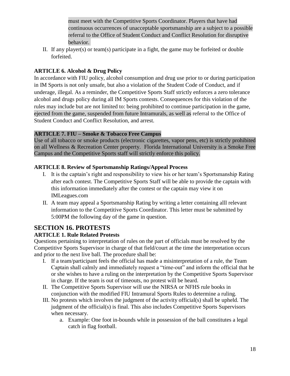must meet with the Competitive Sports Coordinator. Players that have had continuous occurrences of unacceptable sportsmanship are a subject to a possible referral to the Office of Student Conduct and Conflict Resolution for disruptive behavior.

II. If any player(s) or team(s) participate in a fight, the game may be forfeited or double forfeited.

#### **ARTICLE 6. Alcohol & Drug Policy**

In accordance with FIU policy, alcohol consumption and drug use prior to or during participation in IM Sports is not only unsafe, but also a violation of the Student Code of Conduct, and if underage, illegal. As a reminder, the Competitive Sports Staff strictly enforces a zero tolerance alcohol and drugs policy during all IM Sports contests. Consequences for this violation of the rules may include but are not limited to: being prohibited to continue participation in the game, ejected from the game, suspended from future Intramurals, as well as referral to the Office of Student Conduct and Conflict Resolution, and arrest.

#### **ARTICLE 7. FIU – Smoke & Tobacco Free Campus**

Use of all tobacco or smoke products (electronic cigarettes, vapor pens, etc) is strictly prohibited on all Wellness & Recreation Center property. Florida International University is a Smoke Free Campus and the Competitive Sports staff will strictly enforce this policy.

#### **ARTICLE 8. Review of Sportsmanship Ratings/Appeal Process**

- I. It is the captain's right and responsibility to view his or her team's Sportsmanship Rating after each contest. The Competitive Sports Staff will be able to provide the captain with this information immediately after the contest or the captain may view it on IMLeagues.com
- II. A team may appeal a Sportsmanship Rating by writing a letter containing alll relevant information to the Competitive Sports Coordinator. This letter must be submitted by 5:00PM the following day of the game in question.

#### **SECTION 16. PROTESTS**

#### **ARTICLE 1. Rule Related Protests**

Questions pertaining to interpretation of rules on the part of officials must be resolved by the Competitive Sports Supervisor in charge of that field/court at the time the interpretation occurs and prior to the next live ball. The procedure shall be:

- I. If a team/participant feels the official has made a misinterpretation of a rule, the Team Captain shall calmly and immediately request a "time-out" and inform the official that he or she wishes to have a ruling on the interpretation by the Competitive Sports Supervisor in charge. If the team is out of timeouts, no protest will be heard.
- II. The Competitive Sports Supervisor will use the NIRSA or NFHS rule books in conjunction with the modified FIU Intramural Sports Rules to determine a ruling.
- III. No protests which involves the judgment of the activity official(s) shall be upheld. The judgment of the official(s) is final. This also includes Competitive Sports Supervisors when necessary.
	- a. Example: One foot in-bounds while in possession of the ball constitutes a legal catch in flag football.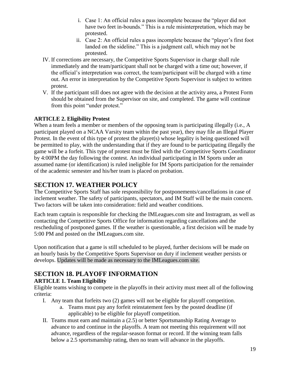- i. Case 1: An official rules a pass incomplete because the "player did not have two feet in-bounds." This is a rule misinterpretation, which may be protested.
- ii. Case 2: An official rules a pass incomplete because the "player's first foot landed on the sideline." This is a judgment call, which may not be protested.
- IV. If corrections are necessary, the Competitive Sports Supervisor in charge shall rule immediately and the team/participant shall not be charged with a time out; however, if the official's interpretation was correct, the team/participant will be charged with a time out. An error in interpretation by the Competitive Sports Supervisor is subject to written protest.
- V. If the participant still does not agree with the decision at the activity area, a Protest Form should be obtained from the Supervisor on site, and completed. The game will continue from this point "under protest."

#### **ARTICLE 2. Eligibility Protest**

When a team feels a member or members of the opposing team is participating illegally (i.e., A participant played on a NCAA Varsity team within the past year), they may file an Illegal Player Protest. In the event of this type of protest the player(s) whose legality is being questioned will be permitted to play, with the understanding that if they are found to be participating illegally the game will be a forfeit. This type of protest must be filed with the Competitive Sports Coordinator by 4:00PM the day following the contest. An individual participating in IM Sports under an assumed name (or identification) is ruled ineligible for IM Sports participation for the remainder of the academic semester and his/her team is placed on probation.

## **SECTION 17. WEATHER POLICY**

The Competitive Sports Staff has sole responsibility for postponements/cancellations in case of inclement weather. The safety of participants, spectators, and IM Staff will be the main concern. Two factors will be taken into consideration: field and weather conditions.

Each team captain is responsible for checking the IMLeagues.com site and Instragram, as well as contacting the Competitive Sports Office for information regarding cancellations and the rescheduling of postponed games. If the weather is questionable, a first decision will be made by 5:00 PM and posted on the IMLeagues.com site.

Upon notification that a game is still scheduled to be played, further decisions will be made on an hourly basis by the Competitive Sports Supervisor on duty if inclement weather persists or develops. Updates will be made as necessary to the IMLeagues.com site.

## **SECTION 18. PLAYOFF INFORMATION**

#### **ARTICLE 1. Team Eligibility**

Eligible teams wishing to compete in the playoffs in their activity must meet all of the following criteria:

- I. Any team that forfeits two (2) games will not be eligible for playoff competition.
	- a. Teams must pay any forfeit reinstatement fees by the posted deadline (if applicable) to be eligible for playoff competition.
- II. Teams must earn and maintain a (2.5) or better Sportsmanship Rating Average to advance to and continue in the playoffs. A team not meeting this requirement will not advance, regardless of the regular-season format or record. If the winning team falls below a 2.5 sportsmanship rating, then no team will advance in the playoffs.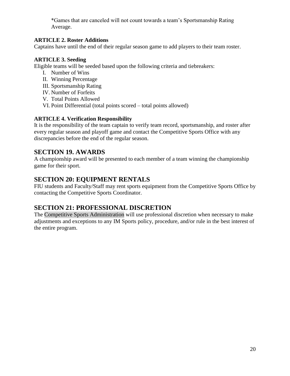\*Games that are canceled will not count towards a team's Sportsmanship Rating Average.

#### **ARTICLE 2. Roster Additions**

Captains have until the end of their regular season game to add players to their team roster.

#### **ARTICLE 3. Seeding**

Eligible teams will be seeded based upon the following criteria and tiebreakers:

- I. Number of Wins
- II. Winning Percentage
- III. Sportsmanship Rating
- IV. Number of Forfeits
- V. Total Points Allowed
- VI. Point Differential (total points scored total points allowed)

#### **ARTICLE 4. Verification Responsibility**

It is the responsibility of the team captain to verify team record, sportsmanship, and roster after every regular season and playoff game and contact the Competitive Sports Office with any discrepancies before the end of the regular season.

#### **SECTION 19. AWARDS**

A championship award will be presented to each member of a team winning the championship game for their sport.

#### **SECTION 20: EQUIPMENT RENTALS**

FIU students and Faculty/Staff may rent sports equipment from the Competitive Sports Office by contacting the Competitive Sports Coordinator.

#### **SECTION 21: PROFESSIONAL DISCRETION**

The Competitive Sports Administration will use professional discretion when necessary to make adjustments and exceptions to any IM Sports policy, procedure, and/or rule in the best interest of the entire program.